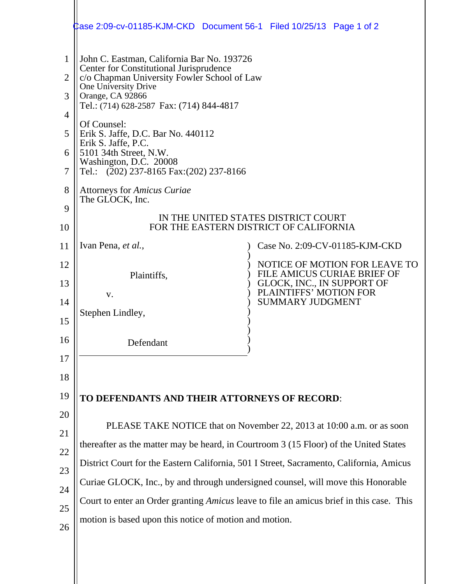|                                 | ‡ase 2:09-cv-01185-KJM-CKD Document 56-1 Filed 10/25/13 Page 1 of 2                                                                                                                                                                                                                                                                                                                                        |
|---------------------------------|------------------------------------------------------------------------------------------------------------------------------------------------------------------------------------------------------------------------------------------------------------------------------------------------------------------------------------------------------------------------------------------------------------|
| 1<br>2<br>3<br>4<br>5<br>6<br>7 | John C. Eastman, California Bar No. 193726<br>Center for Constitutional Jurisprudence<br>c/o Chapman University Fowler School of Law<br>One University Drive<br>Orange, CA 92866<br>Tel.: (714) 628-2587 Fax: (714) 844-4817<br>Of Counsel:<br>Erik S. Jaffe, D.C. Bar No. 440112<br>Erik S. Jaffe, P.C.<br>5101 34th Street, N.W.<br>Washington, D.C. 20008<br>Tel.: $(202)$ 237-8165 Fax: (202) 237-8166 |
| 8                               | <b>Attorneys for Amicus Curiae</b><br>The GLOCK, Inc.                                                                                                                                                                                                                                                                                                                                                      |
| 9                               | IN THE UNITED STATES DISTRICT COURT<br>FOR THE EASTERN DISTRICT OF CALIFORNIA                                                                                                                                                                                                                                                                                                                              |
| 10                              |                                                                                                                                                                                                                                                                                                                                                                                                            |
| 11                              | Case No. 2:09-CV-01185-KJM-CKD<br>Ivan Pena, et al.,                                                                                                                                                                                                                                                                                                                                                       |
| 12<br>13                        | NOTICE OF MOTION FOR LEAVE TO<br>FILE AMICUS CURIAE BRIEF OF<br>Plaintiffs,<br>GLOCK, INC., IN SUPPORT OF                                                                                                                                                                                                                                                                                                  |
| 14                              | PLAINTIFFS' MOTION FOR<br>V.<br><b>SUMMARY JUDGMENT</b>                                                                                                                                                                                                                                                                                                                                                    |
| 15                              | Stephen Lindley,                                                                                                                                                                                                                                                                                                                                                                                           |
| 16                              |                                                                                                                                                                                                                                                                                                                                                                                                            |
| 17                              | Defendant                                                                                                                                                                                                                                                                                                                                                                                                  |
|                                 |                                                                                                                                                                                                                                                                                                                                                                                                            |
| 18                              |                                                                                                                                                                                                                                                                                                                                                                                                            |
| 19                              | TO DEFENDANTS AND THEIR ATTORNEYS OF RECORD:                                                                                                                                                                                                                                                                                                                                                               |
| 20                              | PLEASE TAKE NOTICE that on November 22, 2013 at 10:00 a.m. or as soon                                                                                                                                                                                                                                                                                                                                      |
| 21                              | thereafter as the matter may be heard, in Courtroom 3 (15 Floor) of the United States                                                                                                                                                                                                                                                                                                                      |
| 22                              | District Court for the Eastern California, 501 I Street, Sacramento, California, Amicus                                                                                                                                                                                                                                                                                                                    |
| 23                              | Curiae GLOCK, Inc., by and through undersigned counsel, will move this Honorable                                                                                                                                                                                                                                                                                                                           |
| 24                              | Court to enter an Order granting Amicus leave to file an amicus brief in this case. This                                                                                                                                                                                                                                                                                                                   |
| 25                              | motion is based upon this notice of motion and motion.                                                                                                                                                                                                                                                                                                                                                     |
| 26                              |                                                                                                                                                                                                                                                                                                                                                                                                            |